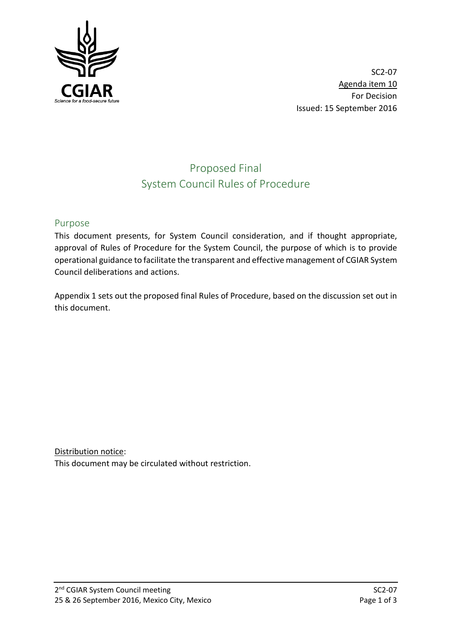

SC2-07 Agenda item 10 For Decision Issued: 15 September 2016

# Proposed Final System Council Rules of Procedure

# Purpose

This document presents, for System Council consideration, and if thought appropriate, approval of Rules of Procedure for the System Council, the purpose of which is to provide operational guidance to facilitate the transparent and effective management of CGIAR System Council deliberations and actions.

Appendix 1 sets out the proposed final Rules of Procedure, based on the discussion set out in this document.

Distribution notice: This document may be circulated without restriction.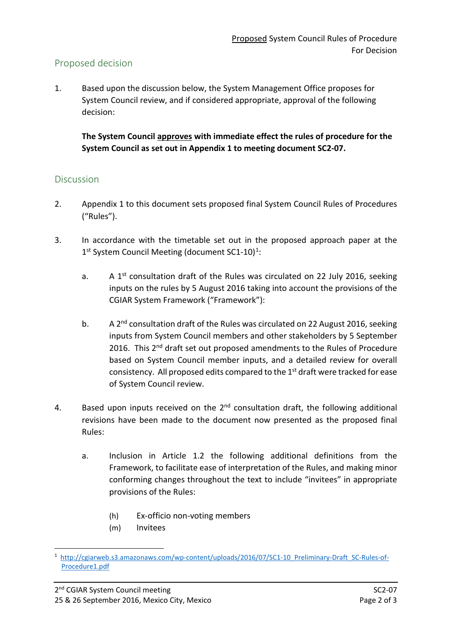# Proposed decision

1. Based upon the discussion below, the System Management Office proposes for System Council review, and if considered appropriate, approval of the following decision:

**The System Council approves with immediate effect the rules of procedure for the System Council as set out in Appendix 1 to meeting document SC2-07.**

# Discussion

- 2. Appendix 1 to this document sets proposed final System Council Rules of Procedures ("Rules").
- 3. In accordance with the timetable set out in the proposed approach paper at the [1](#page-1-0)<sup>st</sup> System Council Meeting (document SC1-10)<sup>1</sup>:
	- a. A 1st consultation draft of the Rules was circulated on 22 July 2016, seeking inputs on the rules by 5 August 2016 taking into account the provisions of the CGIAR System Framework ("Framework"):
	- b. A 2<sup>nd</sup> consultation draft of the Rules was circulated on 22 August 2016, seeking inputs from System Council members and other stakeholders by 5 September 2016. This 2<sup>nd</sup> draft set out proposed amendments to the Rules of Procedure based on System Council member inputs, and a detailed review for overall consistency. All proposed edits compared to the  $1<sup>st</sup>$  draft were tracked for ease of System Council review.
- 4. Based upon inputs received on the  $2<sup>nd</sup>$  consultation draft, the following additional revisions have been made to the document now presented as the proposed final Rules:
	- a. Inclusion in Article 1.2 the following additional definitions from the Framework, to facilitate ease of interpretation of the Rules, and making minor conforming changes throughout the text to include "invitees" in appropriate provisions of the Rules:
		- (h) Ex-officio non-voting members
		- (m) Invitees

<span id="page-1-0"></span> $\frac{1}{1}$ <sup>1</sup> [http://cgiarweb.s3.amazonaws.com/wp-content/uploads/2016/07/SC1-10\\_Preliminary-Draft\\_SC-Rules-of-](http://cgiarweb.s3.amazonaws.com/wp-content/uploads/2016/07/SC1-10_Preliminary-Draft_SC-Rules-of-Procedure1.pdf)[Procedure1.pdf](http://cgiarweb.s3.amazonaws.com/wp-content/uploads/2016/07/SC1-10_Preliminary-Draft_SC-Rules-of-Procedure1.pdf)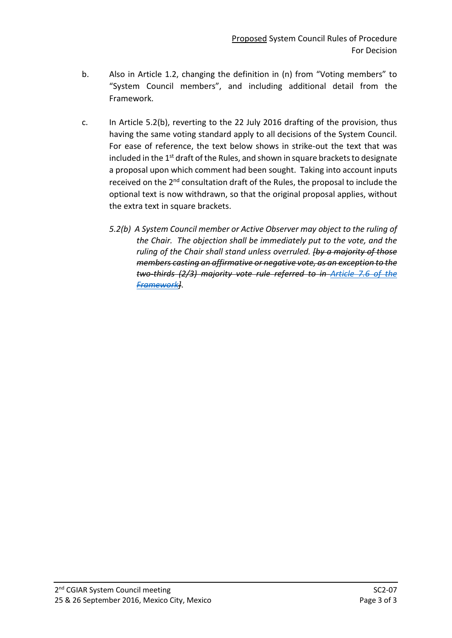- b. Also in Article 1.2, changing the definition in (n) from "Voting members" to "System Council members", and including additional detail from the Framework.
- c. In Article 5.2(b), reverting to the 22 July 2016 drafting of the provision, thus having the same voting standard apply to all decisions of the System Council. For ease of reference, the text below shows in strike-out the text that was included in the  $1<sup>st</sup>$  draft of the Rules, and shown in square brackets to designate a proposal upon which comment had been sought. Taking into account inputs received on the 2<sup>nd</sup> consultation draft of the Rules, the proposal to include the optional text is now withdrawn, so that the original proposal applies, without the extra text in square brackets.
	- *5.2(b) A System Council member or Active Observer may object to the ruling of the Chair. The objection shall be immediately put to the vote, and the ruling of the Chair shall stand unless overruled. [by a majority of those members casting an affirmative or negative vote, as an exception to the two-thirds (2/3) majority vote rule referred to in [Article 7.6 of the](http://library.cgiar.org/bitstream/handle/10947/4371/CGIAR%20System%20Framework%20-%20WEB.pdf?sequence=1)  [Framework\]](http://library.cgiar.org/bitstream/handle/10947/4371/CGIAR%20System%20Framework%20-%20WEB.pdf?sequence=1)*.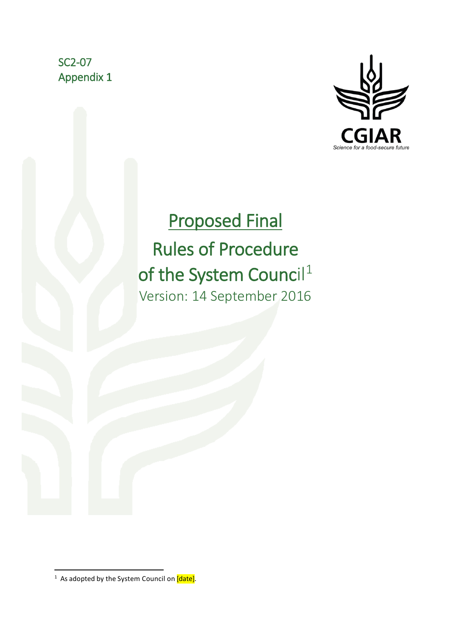SC2-07 Appendix 1



# Proposed Final

# Rules of Procedure ofthe System Council<sup>1</sup><br>Version: 14 September 2016

<span id="page-3-0"></span> $\frac{1}{1}$  $1$  As adopted by the System Council on  $\overline{[date]}$ .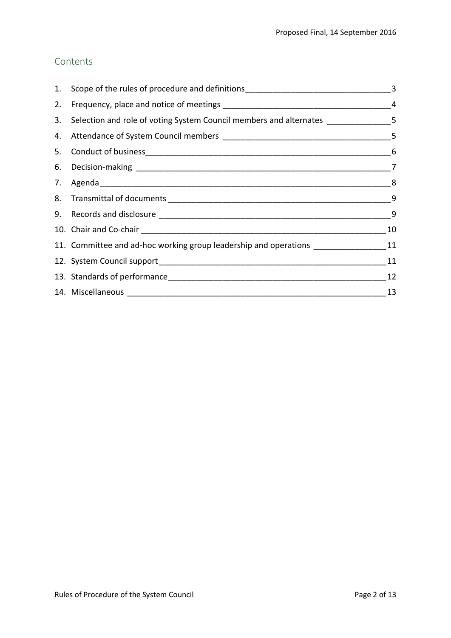# Contents

| 3. Selection and role of voting System Council members and alternates _____________5 |    |
|--------------------------------------------------------------------------------------|----|
|                                                                                      |    |
|                                                                                      |    |
|                                                                                      |    |
|                                                                                      |    |
|                                                                                      |    |
|                                                                                      | 9  |
|                                                                                      | 10 |
| 11. Committee and ad-hoc working group leadership and operations ________________11  |    |
|                                                                                      | 11 |
|                                                                                      | 12 |
|                                                                                      | 13 |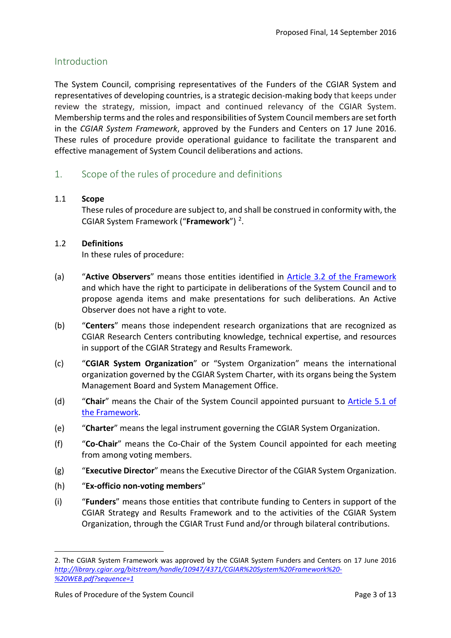# Introduction

The System Council, comprising representatives of the Funders of the CGIAR System and representatives of developing countries, is a strategic decision-making body that keeps under review the strategy, mission, impact and continued relevancy of the CGIAR System. Membership terms and the roles and responsibilities of System Council members are set forth in the *CGIAR System Framework*, approved by the Funders and Centers on 17 June 2016. These rules of procedure provide operational guidance to facilitate the transparent and effective management of System Council deliberations and actions.

#### <span id="page-5-0"></span>1. Scope of the rules of procedure and definitions

#### 1.1 **Scope**

These rules of procedure are subject to, and shall be construed in conformity with, the CGIAR System Framework ("**Framework**") [2.](#page-5-1)

#### 1.2 **Definitions**

In these rules of procedure:

- (a) "**Active Observers**" means those entities identified in [Article 3.2 of the Framework](http://library.cgiar.org/bitstream/handle/10947/4371/CGIAR%20System%20Framework%20-%20WEB.pdf?sequence=1) and which have the right to participate in deliberations of the System Council and to propose agenda items and make presentations for such deliberations. An Active Observer does not have a right to vote.
- (b) "**Centers**" means those independent research organizations that are recognized as CGIAR Research Centers contributing knowledge, technical expertise, and resources in support of the CGIAR Strategy and Results Framework.
- (c) "**CGIAR System Organization**" or "System Organization" means the international organization governed by the CGIAR System Charter, with its organs being the System Management Board and System Management Office.
- (d) "**Chair**" means the Chair of the System Council appointed pursuant to [Article 5.1 of](http://library.cgiar.org/bitstream/handle/10947/4371/CGIAR%20System%20Framework%20-%20WEB.pdf?sequence=1)  [the Framework.](http://library.cgiar.org/bitstream/handle/10947/4371/CGIAR%20System%20Framework%20-%20WEB.pdf?sequence=1)
- (e) "**Charter**" means the legal instrument governing the CGIAR System Organization.
- (f) "**Co-Chair**" means the Co-Chair of the System Council appointed for each meeting from among voting members.
- (g) "**Executive Director**" means the Executive Director of the CGIAR System Organization.
- (h) "**Ex-officio non-voting members**"
- (i) "**Funders**" means those entities that contribute funding to Centers in support of the CGIAR Strategy and Results Framework and to the activities of the CGIAR System Organization, through the CGIAR Trust Fund and/or through bilateral contributions.

-

<span id="page-5-1"></span><sup>2.</sup> The CGIAR System Framework was approved by the CGIAR System Funders and Centers on 17 June 2016 *[http://library.cgiar.org/bitstream/handle/10947/4371/CGIAR%20System%20Framework%20-](http://library.cgiar.org/bitstream/handle/10947/4371/CGIAR%20System%20Framework%20-%20WEB.pdf?sequence=1) [%20WEB.pdf?sequence=1](http://library.cgiar.org/bitstream/handle/10947/4371/CGIAR%20System%20Framework%20-%20WEB.pdf?sequence=1)*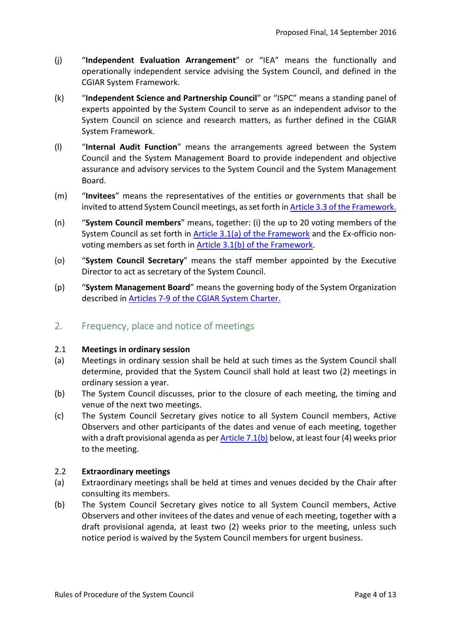- (j) "**Independent Evaluation Arrangement**" or "IEA" means the functionally and operationally independent service advising the System Council, and defined in the CGIAR System Framework.
- (k) "**Independent Science and Partnership Council**" or "ISPC" means a standing panel of experts appointed by the System Council to serve as an independent advisor to the System Council on science and research matters, as further defined in the CGIAR System Framework.
- (l) "**Internal Audit Function**" means the arrangements agreed between the System Council and the System Management Board to provide independent and objective assurance and advisory services to the System Council and the System Management Board.
- (m) "**Invitees**" means the representatives of the entities or governments that shall be invited to attend System Council meetings, as set forth i[n Article 3.3 of the Framework.](http://library.cgiar.org/bitstream/handle/10947/4371/CGIAR%20System%20Framework%20-%20WEB.pdf?sequence=1)
- (n) "**System Council members**" means, together: (i) the up to 20 voting members of the System Council as set forth in [Article 3.1\(a\) of the Framework](http://library.cgiar.org/bitstream/handle/10947/4371/CGIAR%20System%20Framework%20-%20WEB.pdf?sequence=1) and the Ex-officio nonvoting members as set forth i[n Article 3.1\(b\) of the Framework.](http://library.cgiar.org/bitstream/handle/10947/4371/CGIAR%20System%20Framework%20-%20WEB.pdf?sequence=1)
- (o) "**System Council Secretary**" means the staff member appointed by the Executive Director to act as secretary of the System Council.
- (p) "**System Management Board**" means the governing body of the System Organization described in [Articles 7-9 of the CGIAR System Charter.](http://library.cgiar.org/bitstream/handle/10947/4370/CGIAR%20System%20Charter%20-%20WEB.pdf?sequence=1)

# <span id="page-6-0"></span>2. Frequency, place and notice of meetings

#### 2.1 **Meetings in ordinary session**

- (a) Meetings in ordinary session shall be held at such times as the System Council shall determine, provided that the System Council shall hold at least two (2) meetings in ordinary session a year.
- (b) The System Council discusses, prior to the closure of each meeting, the timing and venue of the next two meetings.
- <span id="page-6-1"></span>(c) The System Council Secretary gives notice to all System Council members, Active Observers and other participants of the dates and venue of each meeting, together with a draft provisional agenda as per [Article 7.1\(b\)](#page-10-1) below, at least four (4) weeks prior to the meeting.

#### 2.2 **Extraordinary meetings**

- (a) Extraordinary meetings shall be held at times and venues decided by the Chair after consulting its members.
- (b) The System Council Secretary gives notice to all System Council members, Active Observers and other invitees of the dates and venue of each meeting, together with a draft provisional agenda, at least two (2) weeks prior to the meeting, unless such notice period is waived by the System Council members for urgent business.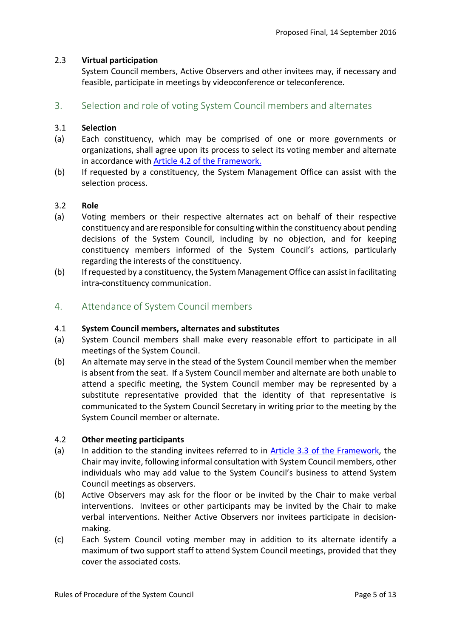#### 2.3 **Virtual participation**

System Council members, Active Observers and other invitees may, if necessary and feasible, participate in meetings by videoconference or teleconference.

<span id="page-7-0"></span>3. Selection and role of voting System Council members and alternates

#### 3.1 **Selection**

- (a) Each constituency, which may be comprised of one or more governments or organizations, shall agree upon its process to select its voting member and alternate in accordance with [Article 4.2 of the Framework.](http://library.cgiar.org/bitstream/handle/10947/4371/CGIAR%20System%20Framework%20-%20WEB.pdf?sequence=1)
- (b) If requested by a constituency, the System Management Office can assist with the selection process.

#### 3.2 **Role**

- (a) Voting members or their respective alternates act on behalf of their respective constituency and are responsible for consulting within the constituency about pending decisions of the System Council, including by no objection, and for keeping constituency members informed of the System Council's actions, particularly regarding the interests of the constituency.
- (b) If requested by a constituency, the System Management Office can assist in facilitating intra-constituency communication.
- <span id="page-7-1"></span>4. Attendance of System Council members

#### 4.1 **System Council members, alternates and substitutes**

- (a) System Council members shall make every reasonable effort to participate in all meetings of the System Council.
- (b) An alternate may serve in the stead of the System Council member when the member is absent from the seat. If a System Council member and alternate are both unable to attend a specific meeting, the System Council member may be represented by a substitute representative provided that the identity of that representative is communicated to the System Council Secretary in writing prior to the meeting by the System Council member or alternate.

#### 4.2 **Other meeting participants**

- (a) In addition to the standing invitees referred to in [Article 3.3 of the Framework,](http://library.cgiar.org/bitstream/handle/10947/4371/CGIAR%20System%20Framework%20-%20WEB.pdf?sequence=1) the Chair may invite, following informal consultation with System Council members, other individuals who may add value to the System Council's business to attend System Council meetings as observers.
- (b) Active Observers may ask for the floor or be invited by the Chair to make verbal interventions. Invitees or other participants may be invited by the Chair to make verbal interventions. Neither Active Observers nor invitees participate in decisionmaking.
- (c) Each System Council voting member may in addition to its alternate identify a maximum of two support staff to attend System Council meetings, provided that they cover the associated costs.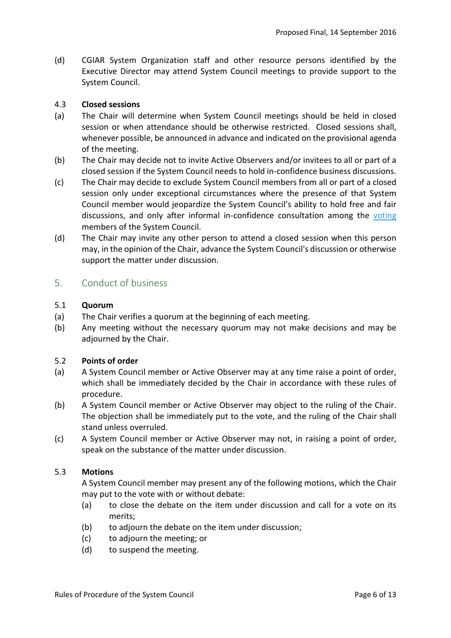(d) CGIAR System Organization staff and other resource persons identified by the Executive Director may attend System Council meetings to provide support to the System Council.

#### 4.3 **Closed sessions**

- (a) The Chair will determine when System Council meetings should be held in closed session or when attendance should be otherwise restricted. Closed sessions shall, whenever possible, be announced in advance and indicated on the provisional agenda of the meeting.
- (b) The Chair may decide not to invite Active Observers and/or invitees to all or part of a closed session if the System Council needs to hold in-confidence business discussions.
- (c) The Chair may decide to exclude System Council members from all or part of a closed session only under exceptional circumstances where the presence of that System Council member would jeopardize the System Council's ability to hold free and fair discussions, and only after informal in-confidence consultation among the voting members of the System Council.
- (d) The Chair may invite any other person to attend a closed session when this person may, in the opinion of the Chair, advance the System Council's discussion or otherwise support the matter under discussion.

# <span id="page-8-0"></span>5. Conduct of business

#### 5.1 **Quorum**

- (a) The Chair verifies a quorum at the beginning of each meeting.
- (b) Any meeting without the necessary quorum may not make decisions and may be adjourned by the Chair.

#### 5.2 **Points of order**

- (a) A System Council member or Active Observer may at any time raise a point of order, which shall be immediately decided by the Chair in accordance with these rules of procedure.
- (b) A System Council member or Active Observer may object to the ruling of the Chair. The objection shall be immediately put to the vote, and the ruling of the Chair shall stand unless overruled.
- (c) A System Council member or Active Observer may not, in raising a point of order, speak on the substance of the matter under discussion.

#### 5.3 **Motions**

A System Council member may present any of the following motions, which the Chair may put to the vote with or without debate:

- (a) to close the debate on the item under discussion and call for a vote on its merits;
- (b) to adjourn the debate on the item under discussion:
- (c) to adjourn the meeting; or
- (d) to suspend the meeting.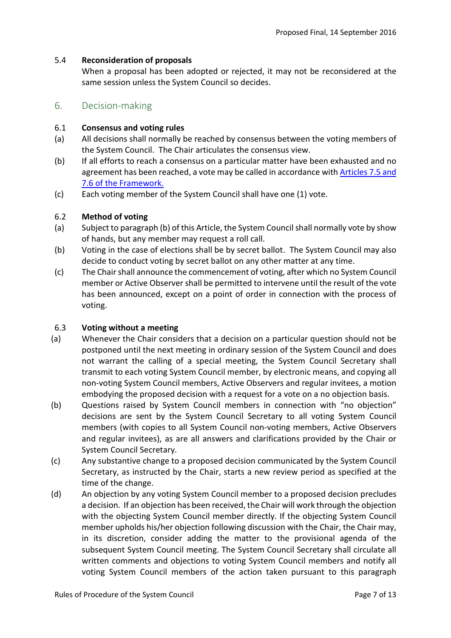#### 5.4 **Reconsideration of proposals**

When a proposal has been adopted or rejected, it may not be reconsidered at the same session unless the System Council so decides.

#### <span id="page-9-0"></span>6. Decision-making

#### 6.1 **Consensus and voting rules**

- (a) All decisions shall normally be reached by consensus between the voting members of the System Council. The Chair articulates the consensus view.
- (b) If all efforts to reach a consensus on a particular matter have been exhausted and no agreement has been reached, a vote may be called in accordance wit[h Articles 7.5 and](http://library.cgiar.org/bitstream/handle/10947/4371/CGIAR%20System%20Framework%20-%20WEB.pdf?sequence=1)  [7.6 of the Framework.](http://library.cgiar.org/bitstream/handle/10947/4371/CGIAR%20System%20Framework%20-%20WEB.pdf?sequence=1)
- (c) Each voting member of the System Council shall have one (1) vote.

#### 6.2 **Method of voting**

- (a) Subject to paragraph (b) of this Article, the System Council shall normally vote by show of hands, but any member may request a roll call.
- (b) Voting in the case of elections shall be by secret ballot. The System Council may also decide to conduct voting by secret ballot on any other matter at any time.
- (c) The Chair shall announce the commencement of voting, after which no System Council member or Active Observer shall be permitted to intervene until the result of the vote has been announced, except on a point of order in connection with the process of voting.

#### 6.3 **Voting without a meeting**

- (a) Whenever the Chair considers that a decision on a particular question should not be postponed until the next meeting in ordinary session of the System Council and does not warrant the calling of a special meeting, the System Council Secretary shall transmit to each voting System Council member, by electronic means, and copying all non-voting System Council members, Active Observers and regular invitees, a motion embodying the proposed decision with a request for a vote on a no objection basis.
- (b) Questions raised by System Council members in connection with "no objection" decisions are sent by the System Council Secretary to all voting System Council members (with copies to all System Council non-voting members, Active Observers and regular invitees), as are all answers and clarifications provided by the Chair or System Council Secretary.
- (c) Any substantive change to a proposed decision communicated by the System Council Secretary, as instructed by the Chair, starts a new review period as specified at the time of the change.
- (d) An objection by any voting System Council member to a proposed decision precludes a decision. If an objection has been received, the Chair will work through the objection with the objecting System Council member directly. If the objecting System Council member upholds his/her objection following discussion with the Chair, the Chair may, in its discretion, consider adding the matter to the provisional agenda of the subsequent System Council meeting. The System Council Secretary shall circulate all written comments and objections to voting System Council members and notify all voting System Council members of the action taken pursuant to this paragraph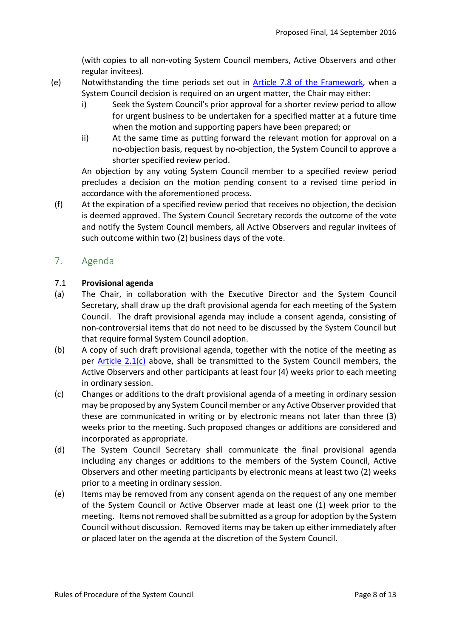(with copies to all non-voting System Council members, Active Observers and other regular invitees).

- (e) Notwithstanding the time periods set out in [Article 7.8 of the Framework,](http://library.cgiar.org/bitstream/handle/10947/4371/CGIAR%20System%20Framework%20-%20WEB.pdf?sequence=1) when a System Council decision is required on an urgent matter, the Chair may either:
	- i) Seek the System Council's prior approval for a shorter review period to allow for urgent business to be undertaken for a specified matter at a future time when the motion and supporting papers have been prepared; or
	- ii) At the same time as putting forward the relevant motion for approval on a no-objection basis, request by no-objection, the System Council to approve a shorter specified review period.

An objection by any voting System Council member to a specified review period precludes a decision on the motion pending consent to a revised time period in accordance with the aforementioned process.

(f) At the expiration of a specified review period that receives no objection, the decision is deemed approved. The System Council Secretary records the outcome of the vote and notify the System Council members, all Active Observers and regular invitees of such outcome within two (2) business days of the vote.

# <span id="page-10-0"></span>7. Agenda

#### 7.1 **Provisional agenda**

- (a) The Chair, in collaboration with the Executive Director and the System Council Secretary, shall draw up the draft provisional agenda for each meeting of the System Council. The draft provisional agenda may include a consent agenda, consisting of non-controversial items that do not need to be discussed by the System Council but that require formal System Council adoption.
- <span id="page-10-1"></span>(b) A copy of such draft provisional agenda, together with the notice of the meeting as per [Article 2.1\(c\)](#page-6-1) above, shall be transmitted to the System Council members, the Active Observers and other participants at least four (4) weeks prior to each meeting in ordinary session.
- (c) Changes or additions to the draft provisional agenda of a meeting in ordinary session may be proposed by any System Council member or any Active Observer provided that these are communicated in writing or by electronic means not later than three (3) weeks prior to the meeting. Such proposed changes or additions are considered and incorporated as appropriate.
- <span id="page-10-2"></span>(d) The System Council Secretary shall communicate the final provisional agenda including any changes or additions to the members of the System Council, Active Observers and other meeting participants by electronic means at least two (2) weeks prior to a meeting in ordinary session.
- (e) Items may be removed from any consent agenda on the request of any one member of the System Council or Active Observer made at least one (1) week prior to the meeting. Items not removed shall be submitted as a group for adoption by the System Council without discussion. Removed items may be taken up either immediately after or placed later on the agenda at the discretion of the System Council.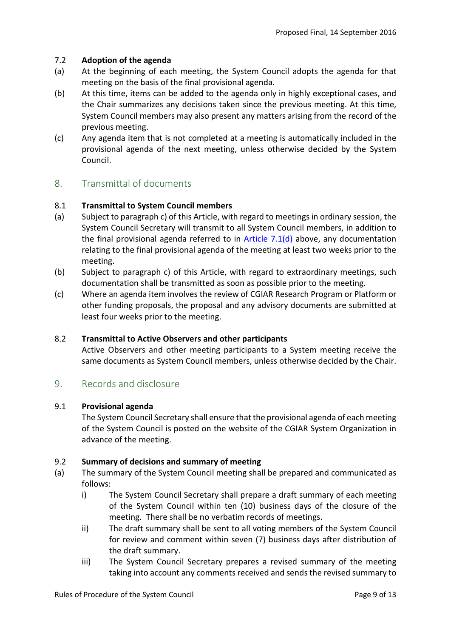#### 7.2 **Adoption of the agenda**

- (a) At the beginning of each meeting, the System Council adopts the agenda for that meeting on the basis of the final provisional agenda.
- (b) At this time, items can be added to the agenda only in highly exceptional cases, and the Chair summarizes any decisions taken since the previous meeting. At this time, System Council members may also present any matters arising from the record of the previous meeting.
- (c) Any agenda item that is not completed at a meeting is automatically included in the provisional agenda of the next meeting, unless otherwise decided by the System Council.

# <span id="page-11-0"></span>8. Transmittal of documents

#### 8.1 **Transmittal to System Council members**

- (a) Subject to paragraph c) of this Article, with regard to meetings in ordinary session, the System Council Secretary will transmit to all System Council members, in addition to the final provisional agenda referred to in Article  $7.1(d)$  above, any documentation relating to the final provisional agenda of the meeting at least two weeks prior to the meeting.
- (b) Subject to paragraph c) of this Article, with regard to extraordinary meetings, such documentation shall be transmitted as soon as possible prior to the meeting.
- (c) Where an agenda item involves the review of CGIAR Research Program or Platform or other funding proposals, the proposal and any advisory documents are submitted at least four weeks prior to the meeting.

#### 8.2 **Transmittal to Active Observers and other participants**

Active Observers and other meeting participants to a System meeting receive the same documents as System Council members, unless otherwise decided by the Chair.

#### <span id="page-11-1"></span>9. Records and disclosure

#### 9.1 **Provisional agenda**

The System Council Secretary shall ensure that the provisional agenda of each meeting of the System Council is posted on the website of the CGIAR System Organization in advance of the meeting.

#### 9.2 **Summary of decisions and summary of meeting**

- (a) The summary of the System Council meeting shall be prepared and communicated as follows:
	- i) The System Council Secretary shall prepare a draft summary of each meeting of the System Council within ten (10) business days of the closure of the meeting. There shall be no verbatim records of meetings.
	- ii) The draft summary shall be sent to all voting members of the System Council for review and comment within seven (7) business days after distribution of the draft summary.
	- iii) The System Council Secretary prepares a revised summary of the meeting taking into account any comments received and sends the revised summary to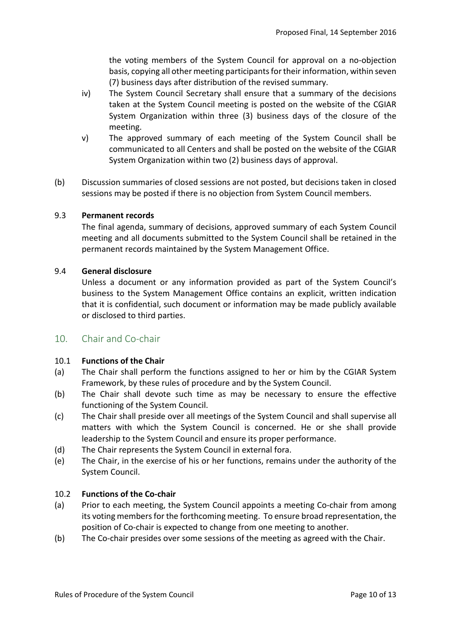the voting members of the System Council for approval on a no-objection basis, copying all other meeting participants for their information, within seven (7) business days after distribution of the revised summary.

- iv) The System Council Secretary shall ensure that a summary of the decisions taken at the System Council meeting is posted on the website of the CGIAR System Organization within three (3) business days of the closure of the meeting.
- v) The approved summary of each meeting of the System Council shall be communicated to all Centers and shall be posted on the website of the CGIAR System Organization within two (2) business days of approval.
- (b) Discussion summaries of closed sessions are not posted, but decisions taken in closed sessions may be posted if there is no objection from System Council members.

#### 9.3 **Permanent records**

The final agenda, summary of decisions, approved summary of each System Council meeting and all documents submitted to the System Council shall be retained in the permanent records maintained by the System Management Office.

#### 9.4 **General disclosure**

Unless a document or any information provided as part of the System Council's business to the System Management Office contains an explicit, written indication that it is confidential, such document or information may be made publicly available or disclosed to third parties.

#### <span id="page-12-0"></span>10. Chair and Co-chair

#### 10.1 **Functions of the Chair**

- (a) The Chair shall perform the functions assigned to her or him by the CGIAR System Framework, by these rules of procedure and by the System Council.
- (b) The Chair shall devote such time as may be necessary to ensure the effective functioning of the System Council.
- (c) The Chair shall preside over all meetings of the System Council and shall supervise all matters with which the System Council is concerned. He or she shall provide leadership to the System Council and ensure its proper performance.
- (d) The Chair represents the System Council in external fora.
- (e) The Chair, in the exercise of his or her functions, remains under the authority of the System Council.

#### 10.2 **Functions of the Co-chair**

- (a) Prior to each meeting, the System Council appoints a meeting Co-chair from among its voting members for the forthcoming meeting. To ensure broad representation, the position of Co-chair is expected to change from one meeting to another.
- (b) The Co-chair presides over some sessions of the meeting as agreed with the Chair.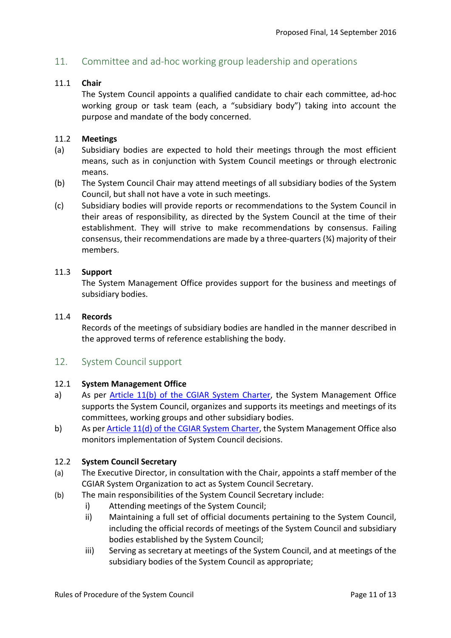# <span id="page-13-0"></span>11. Committee and ad-hoc working group leadership and operations

#### 11.1 **Chair**

The System Council appoints a qualified candidate to chair each committee, ad-hoc working group or task team (each, a "subsidiary body") taking into account the purpose and mandate of the body concerned.

#### 11.2 **Meetings**

- (a) Subsidiary bodies are expected to hold their meetings through the most efficient means, such as in conjunction with System Council meetings or through electronic means.
- (b) The System Council Chair may attend meetings of all subsidiary bodies of the System Council, but shall not have a vote in such meetings.
- (c) Subsidiary bodies will provide reports or recommendations to the System Council in their areas of responsibility, as directed by the System Council at the time of their establishment. They will strive to make recommendations by consensus. Failing consensus, their recommendations are made by a three-quarters (¾) majority of their members.

#### 11.3 **Support**

The System Management Office provides support for the business and meetings of subsidiary bodies.

#### 11.4 **Records**

Records of the meetings of subsidiary bodies are handled in the manner described in the approved terms of reference establishing the body.

#### <span id="page-13-1"></span>12. System Council support

#### 12.1 **System Management Office**

- a) As per [Article 11\(b\) of the CGIAR System Charter,](http://library.cgiar.org/bitstream/handle/10947/4370/CGIAR%20System%20Charter%20-%20WEB.pdf?sequence=1) the System Management Office supports the System Council, organizes and supports its meetings and meetings of its committees, working groups and other subsidiary bodies.
- b) As per [Article 11\(d\) of the CGIAR System Charter,](http://library.cgiar.org/bitstream/handle/10947/4370/CGIAR%20System%20Charter%20-%20WEB.pdf?sequence=1) the System Management Office also monitors implementation of System Council decisions.

#### 12.2 **System Council Secretary**

- (a) The Executive Director, in consultation with the Chair, appoints a staff member of the CGIAR System Organization to act as System Council Secretary.
- (b) The main responsibilities of the System Council Secretary include:
	- i) Attending meetings of the System Council;
	- ii) Maintaining a full set of official documents pertaining to the System Council, including the official records of meetings of the System Council and subsidiary bodies established by the System Council;
	- iii) Serving as secretary at meetings of the System Council, and at meetings of the subsidiary bodies of the System Council as appropriate;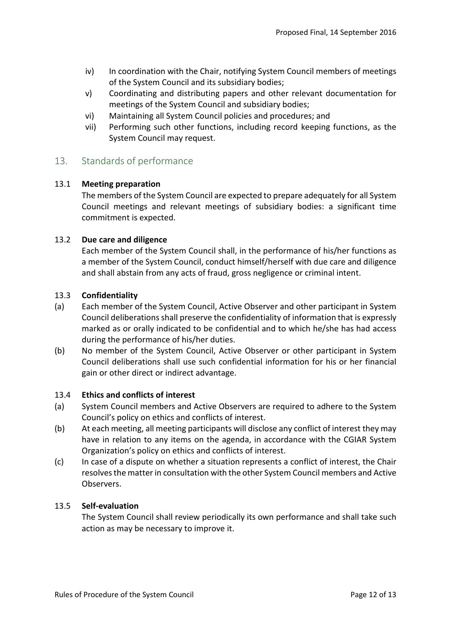- iv) In coordination with the Chair, notifying System Council members of meetings of the System Council and its subsidiary bodies;
- v) Coordinating and distributing papers and other relevant documentation for meetings of the System Council and subsidiary bodies;
- vi) Maintaining all System Council policies and procedures; and
- vii) Performing such other functions, including record keeping functions, as the System Council may request.

# <span id="page-14-0"></span>13. Standards of performance

#### 13.1 **Meeting preparation**

The members of the System Council are expected to prepare adequately for all System Council meetings and relevant meetings of subsidiary bodies: a significant time commitment is expected.

#### 13.2 **Due care and diligence**

Each member of the System Council shall, in the performance of his/her functions as a member of the System Council, conduct himself/herself with due care and diligence and shall abstain from any acts of fraud, gross negligence or criminal intent.

#### 13.3 **Confidentiality**

- (a) Each member of the System Council, Active Observer and other participant in System Council deliberations shall preserve the confidentiality of information that is expressly marked as or orally indicated to be confidential and to which he/she has had access during the performance of his/her duties.
- (b) No member of the System Council, Active Observer or other participant in System Council deliberations shall use such confidential information for his or her financial gain or other direct or indirect advantage.

#### 13.4 **Ethics and conflicts of interest**

- (a) System Council members and Active Observers are required to adhere to the System Council's policy on ethics and conflicts of interest.
- (b) At each meeting, all meeting participants will disclose any conflict of interest they may have in relation to any items on the agenda, in accordance with the CGIAR System Organization's policy on ethics and conflicts of interest.
- (c) In case of a dispute on whether a situation represents a conflict of interest, the Chair resolves the matter in consultation with the other System Council members and Active Observers.

#### 13.5 **Self-evaluation**

The System Council shall review periodically its own performance and shall take such action as may be necessary to improve it.